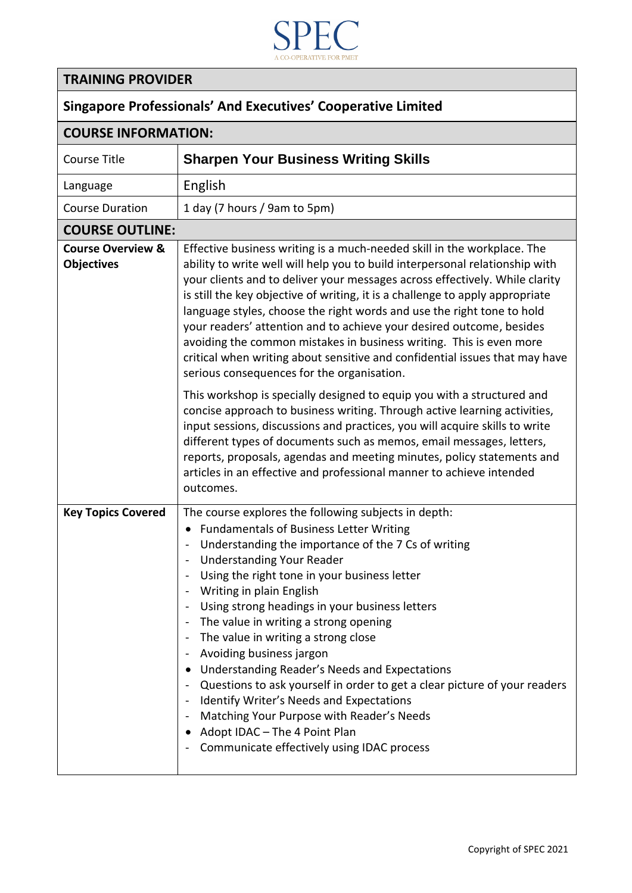

## **TRAINING PROVIDER**

## **Singapore Professionals' And Executives' Cooperative Limited**

| <b>COURSE INFORMATION:</b>                        |                                                                                                                                                                                                                                                                                                                                                                                                                                                                                                                                                                                                                                                                                                                                                                                            |  |
|---------------------------------------------------|--------------------------------------------------------------------------------------------------------------------------------------------------------------------------------------------------------------------------------------------------------------------------------------------------------------------------------------------------------------------------------------------------------------------------------------------------------------------------------------------------------------------------------------------------------------------------------------------------------------------------------------------------------------------------------------------------------------------------------------------------------------------------------------------|--|
| <b>Course Title</b>                               | <b>Sharpen Your Business Writing Skills</b>                                                                                                                                                                                                                                                                                                                                                                                                                                                                                                                                                                                                                                                                                                                                                |  |
| Language                                          | English                                                                                                                                                                                                                                                                                                                                                                                                                                                                                                                                                                                                                                                                                                                                                                                    |  |
| <b>Course Duration</b>                            | 1 day (7 hours / 9am to 5pm)                                                                                                                                                                                                                                                                                                                                                                                                                                                                                                                                                                                                                                                                                                                                                               |  |
| <b>COURSE OUTLINE:</b>                            |                                                                                                                                                                                                                                                                                                                                                                                                                                                                                                                                                                                                                                                                                                                                                                                            |  |
| <b>Course Overview &amp;</b><br><b>Objectives</b> | Effective business writing is a much-needed skill in the workplace. The<br>ability to write well will help you to build interpersonal relationship with<br>your clients and to deliver your messages across effectively. While clarity<br>is still the key objective of writing, it is a challenge to apply appropriate<br>language styles, choose the right words and use the right tone to hold<br>your readers' attention and to achieve your desired outcome, besides<br>avoiding the common mistakes in business writing. This is even more<br>critical when writing about sensitive and confidential issues that may have<br>serious consequences for the organisation.                                                                                                              |  |
|                                                   | This workshop is specially designed to equip you with a structured and<br>concise approach to business writing. Through active learning activities,<br>input sessions, discussions and practices, you will acquire skills to write<br>different types of documents such as memos, email messages, letters,<br>reports, proposals, agendas and meeting minutes, policy statements and<br>articles in an effective and professional manner to achieve intended<br>outcomes.                                                                                                                                                                                                                                                                                                                  |  |
| <b>Key Topics Covered</b>                         | The course explores the following subjects in depth:<br><b>Fundamentals of Business Letter Writing</b><br>$\bullet$<br>Understanding the importance of the 7 Cs of writing<br>$\overline{\phantom{a}}$<br><b>Understanding Your Reader</b><br>Using the right tone in your business letter<br>Writing in plain English<br>Using strong headings in your business letters<br>The value in writing a strong opening<br>The value in writing a strong close<br>Avoiding business jargon<br>Understanding Reader's Needs and Expectations<br>Questions to ask yourself in order to get a clear picture of your readers<br>Identify Writer's Needs and Expectations<br>Matching Your Purpose with Reader's Needs<br>Adopt IDAC - The 4 Point Plan<br>Communicate effectively using IDAC process |  |